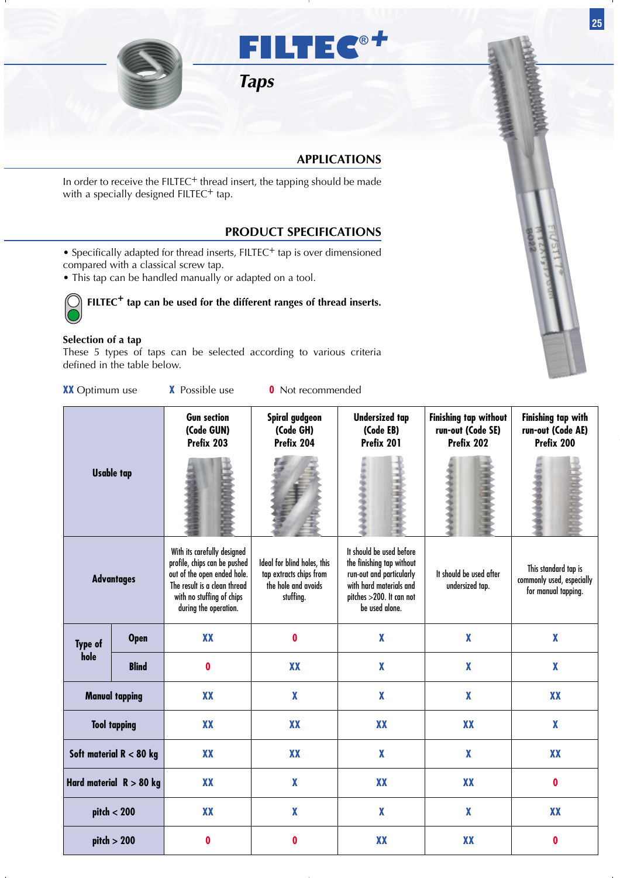

## **APPLICATIONS**

In order to receive the FILTEC<sup>+</sup> thread insert, the tapping should be made with a specially designed FILTEC<sup>+</sup> tap.

## **PRODUCT SPECIFICATIONS**

- Specifically adapted for thread inserts, FILTEC<sup>+</sup> tap is over dimensioned compared with a classical screw tap.
- This tap can be handled manually or adapted on a tool.

**FILTEC<sup>+</sup> tap can be used for the different ranges of thread inserts.**

## **Selection of a tap**

These 5 types of taps can be selected according to various criteria defined in the table below.

| <b>XX</b> Optimum use      |                       | <b>X</b> Possible use                                                                                                                                                            | <b>0</b> Not recommended                                                                   |                                                                                                                                                            |                                                                 |                                                                          |
|----------------------------|-----------------------|----------------------------------------------------------------------------------------------------------------------------------------------------------------------------------|--------------------------------------------------------------------------------------------|------------------------------------------------------------------------------------------------------------------------------------------------------------|-----------------------------------------------------------------|--------------------------------------------------------------------------|
|                            |                       | <b>Gun section</b><br>(Code GUN)<br>Prefix 203                                                                                                                                   | Spiral gudgeon<br>(Code GH)<br>Prefix 204                                                  | <b>Undersized tap</b><br>(Code EB)<br>Prefix 201                                                                                                           | <b>Finishing tap without</b><br>run-out (Code SE)<br>Prefix 202 | <b>Finishing tap with</b><br>run-out (Code AE)<br>Prefix 200             |
|                            | <b>Usable tap</b>     |                                                                                                                                                                                  |                                                                                            |                                                                                                                                                            |                                                                 |                                                                          |
|                            | <b>Advantages</b>     | With its carefully designed<br>profile, chips can be pushed<br>out of the open ended hole.<br>The result is a clean thread<br>with no stuffing of chips<br>during the operation. | Ideal for blind holes, this<br>tap extracts chips from<br>the hole and avoids<br>stuffing. | It should be used before<br>the finishing tap without<br>run-out and particularly<br>with hard materials and<br>pitches >200. It can not<br>be used alone. | It should be used after<br>undersized tap.                      | This standard tap is<br>commonly used, especially<br>for manual tapping. |
| Type of                    | <b>Open</b>           | <b>XX</b>                                                                                                                                                                        | $\boldsymbol{0}$                                                                           | $\boldsymbol{\mathsf{X}}$                                                                                                                                  | $\pmb{\chi}$                                                    | $\boldsymbol{\mathsf{X}}$                                                |
| hole                       | <b>Blind</b>          | 0                                                                                                                                                                                | <b>XX</b>                                                                                  | $\boldsymbol{X}$                                                                                                                                           | $\boldsymbol{X}$                                                | $\boldsymbol{\mathsf{X}}$                                                |
|                            | <b>Manual tapping</b> | <b>XX</b>                                                                                                                                                                        | $\mathbf{X}$                                                                               | $\boldsymbol{\mathsf{X}}$                                                                                                                                  | $\pmb{\chi}$                                                    | XX                                                                       |
|                            | <b>Tool tapping</b>   | <b>XX</b>                                                                                                                                                                        | <b>XX</b>                                                                                  | <b>XX</b>                                                                                                                                                  | <b>XX</b>                                                       | $\boldsymbol{\mathsf{X}}$                                                |
| Soft material $R < 80$ kg  |                       | <b>XX</b>                                                                                                                                                                        | XX                                                                                         | $\boldsymbol{\mathsf{X}}$                                                                                                                                  | $\boldsymbol{\mathsf{X}}$                                       | <b>XX</b>                                                                |
| Hard material $ R > 80$ kg |                       | XX                                                                                                                                                                               | $\mathbf{X}$                                                                               | XX                                                                                                                                                         | XX                                                              | $\boldsymbol{0}$                                                         |
| pitch < 200                |                       | <b>XX</b>                                                                                                                                                                        | $\mathbf{X}$                                                                               | $\boldsymbol{X}$                                                                                                                                           | $\boldsymbol{\mathsf{X}}$                                       | <b>XX</b>                                                                |
| pitch > 200                |                       | $\boldsymbol{0}$                                                                                                                                                                 | $\boldsymbol{0}$                                                                           | XX                                                                                                                                                         | XX                                                              | $\boldsymbol{0}$                                                         |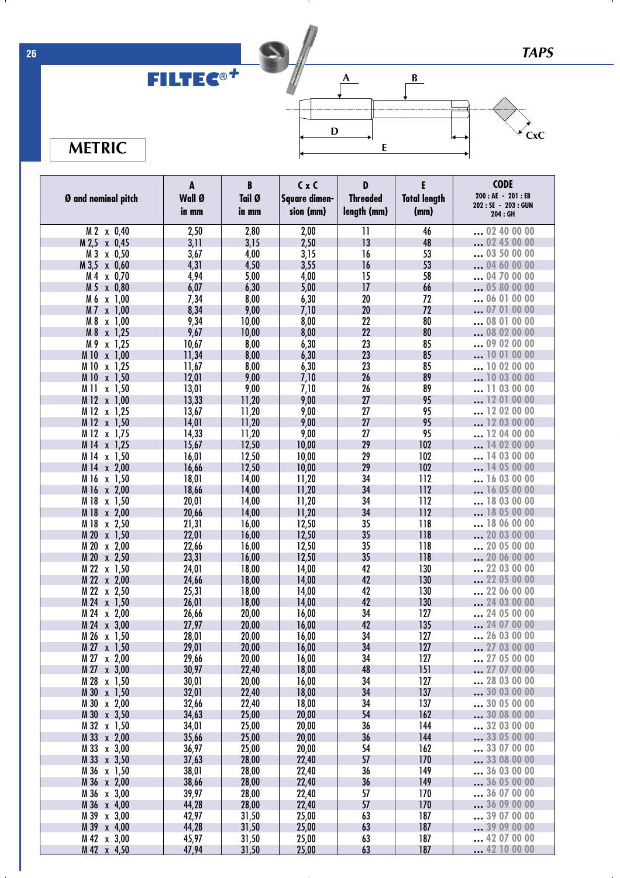*TAPS*

## **FILTEC ®** *+*



 $\mathbf{I}$ 

**B**



**METRIC**

|                                       | A               | B               | $C \times C$               | D                              | E                           | <b>CODE</b><br>200 : AE - 201 : EB |
|---------------------------------------|-----------------|-----------------|----------------------------|--------------------------------|-----------------------------|------------------------------------|
| Ø and nominal pitch                   | Wall Ø<br>in mm | Tail Ø<br>in mm | Square dimen-<br>sion (mm) | <b>Threaded</b><br>length (mm) | <b>Total length</b><br>(mm) | 202: SE - 203: GUN<br>204 : GH     |
| M 2 x 0,40                            | 2,50            | 2,80            | 2,00                       | $\overline{11}$                | 46                          | 02 40 00 00                        |
| M 2,5 x 0,45                          | 3,11            | 3,15            | 2,50                       | 13                             | 48                          | 02 45 00 00                        |
| M 3 x 0,50                            | 3,67            | 4,00            | 3,15                       | 16                             | 53                          | $$ 03 50 00 00                     |
| M 3,5 x 0,60                          | 4,31            | 4,50            | 3,55                       | 16                             | 53                          | 04 60 00 00                        |
| M 4 x 0,70                            | 4,94            | 5,00            | 4,00                       | 15                             | 58                          | 04 70 00 00                        |
| M 5 x 0,80                            | 6,07            | 6,30            | 5,00                       | 17                             | 66                          | 05 80 00 00                        |
| M 6<br>x 1,00                         | 7,34            | 8,00            | 6,30                       | 20                             | 72                          | $$ 06 01 00 00                     |
| M 7 x 1,00                            | 8,34            | 9,00            | 7,10                       | 20                             | 72                          | $\dots$ 07 01 00 00                |
| M 8<br>x 1,00                         | 9,34            | 10,00           | 8,00                       | 22                             | 80                          | 08 01 00 00                        |
| M 8<br>x 1,25                         | 9,67            | 10,00           | 8,00                       | 22                             | 80                          | .08 02 00 00                       |
| M 9 x 1,25                            | 10,67           | 8,00            | 6,30                       | 23                             | 85                          | 09 02 00 00                        |
| M 10 x 1,00                           | 11,34           | 8,00            | 6,30                       | 23                             | 85                          | 10 01 00 00                        |
| M 10 x 1,25<br>M 10 x 1,50            | 11,67<br>12,01  | 8,00<br>9,00    | 6,30                       | 23<br>26                       | 85<br>89                    | 10 02 00 00<br>10 03 00 00         |
| M 11<br>x 1,50                        | 13,01           | 9,00            | 7,10<br>7,10               | 26                             | 89                          | $\dots$ 11 03 00 00                |
| M 12 x 1,00                           | 13,33           | 11,20           | 9,00                       | 27                             | 95                          | 12 01 00 00                        |
| M 12 x 1,25                           | 13,67           | 11,20           | 9,00                       | 27                             | 95                          | 12 02 00 00                        |
| M 12 x 1,50                           | 14,01           | 11,20           | 9,00                       | 27                             | 95                          | 12 03 00 00                        |
| M 12 x 1,75                           | 14,33           | 11,20           | 9,00                       | 27                             | 95                          | 12 04 00 00                        |
| M 14 x 1,25                           | 15,67           | 12,50           | 10,00                      | 29                             | 102                         | 14 02 00 00                        |
| M 14 x 1,50                           | 16,01           | 12,50           | 10,00                      | 29                             | 102                         | 14 03 00 00                        |
| M 14 x 2,00                           | 16,66           | 12,50           | 10,00                      | 29                             | 102                         | 14 05 00 00                        |
| M 16 x 1,50                           | 18,01           | 14,00           | 11,20                      | 34                             | 112                         | 16 03 00 00                        |
| M 16 x 2,00                           | 18,66           | 14,00           | 11,20                      | 34                             | 112                         | 16 05 00 00                        |
| M 18 x 1,50                           | 20,01           | 14,00           | 11,20                      | 34                             | 112                         | 18 03 00 00                        |
| M 18 x 2,00                           | 20,66           | 14,00           | 11,20                      | 34                             | 112                         | 18 05 00 00                        |
| M 18 x 2,50                           | 21,31           | 16,00           | 12,50                      | 35                             | 118                         | 18 06 00 00                        |
| M 20 x 1,50                           | 22,01           | 16,00           | 12,50                      | 35                             | 118                         | 20 03 00 00                        |
| M 20 x 2,00                           | 22,66           | 16,00           | 12,50                      | 35                             | 118                         | 20 05 00 00                        |
| M 20 x 2,50                           | 23,31           | 16,00           | 12,50                      | 35                             | 118                         | 20 06 00 00                        |
| M 22 x 1,50                           | 24,01           | 18,00           | 14,00                      | 42                             | 130                         | 22 03 00 00                        |
| M 22 x 2,00                           | 24,66           | 18,00           | 14,00                      | 42                             | 130                         | 22 05 00 00                        |
| M 22 x 2,50                           | 25,31           | 18,00           | 14,00                      | 42                             | 130                         | 22 06 00 00                        |
| M 24 x 1,50                           | 26,01           | 18,00           | 14,00                      | 42<br>34                       | 130<br>127                  | 24 03 00 00<br>24 05 00 00         |
| M 24 x 2,00<br>M 24 x 3,00            | 26,66<br>27,97  | 20,00<br>20,00  | 16,00<br>16,00             | 42                             | 135                         | 24 07 00 00                        |
| M 26 x 1,50                           | 28,01           | 20,00           | 16,00                      | 34                             | 127                         | 26 03 00 00                        |
| $M 27 \times 1,50$                    | 29,01           | 20,00           | 16,00                      | 34                             | 127                         | 27 03 00 00                        |
| M 27 x 2,00                           | 29,66           | 20,00           | 16,00                      | 34                             | 127                         | 27 05 00 00                        |
| M 27 x 3,00                           | 30,97           | 22,40           | 18,00                      | 48                             | 151                         | 27 07 00 00                        |
| M 28 x 1,50                           | 30,01           | 20,00           | 16,00                      | 34                             | 127                         | 28 03 00 00                        |
| M 30 x 1,50                           | 32,01           | 22,40           | 18,00                      | 34                             | 137                         | 30 03 00 00                        |
| M 30 x 2,00                           | 32,66           | 22,40           | 18,00                      | 34                             | 137                         | 30 05 00 00                        |
| M 30 x 3,50                           | 34,63           | 25,00           | 20,00                      | 54                             | 162                         | 30 08 00 00                        |
| M 32 x 1,50                           | 34,01           | 25,00           | 20,00                      | 36                             | 144                         | 32 03 00 00                        |
| M 33 x 2,00                           | 35,66           | 25,00           | 20,00                      | 36                             | 144                         | 33 05 00 00                        |
| M 33 x 3,00                           | 36,97           | 25,00           | 20,00                      | 54                             | 162                         | 33 07 00 00                        |
| M 33 x 3,50                           | 37,63           | 28,00           | 22,40                      | 57                             | 170                         | 33 08 00 00                        |
| M 36 x 1,50                           | 38,01           | 28,00           | 22,40                      | 36                             | 149                         | 36 03 00 00                        |
| M 36 x 2,00                           | 38,66           | 28,00           | 22,40                      | 36                             | 149                         | 36 05 00 00                        |
| M 36 x 3,00                           | 39,97           | 28,00           | 22,40                      | 57                             | 170                         | 36 07 00 00                        |
| M 36 x 4,00                           | 44,28           | 28,00           | 22,40                      | 57                             | 170                         | 36 09 00 00                        |
| M 39 x 3,00                           | 42,97           | 31,50           | 25,00                      | 63                             | 187                         | 39 07 00 00                        |
| M 39 x 4,00                           | 44,28           | 31,50           | 25,00                      | 63<br>63                       | 187<br>187                  | 39 09 00 00<br>42 07 00 00         |
| M 42 x 3,00<br>M <sub>42</sub> x 4,50 | 45,97<br>47,94  | 31,50<br>31,50  | 25,00<br>25,00             | 63                             | 187                         | 42 10 00 00                        |
|                                       |                 |                 |                            |                                |                             |                                    |

**26**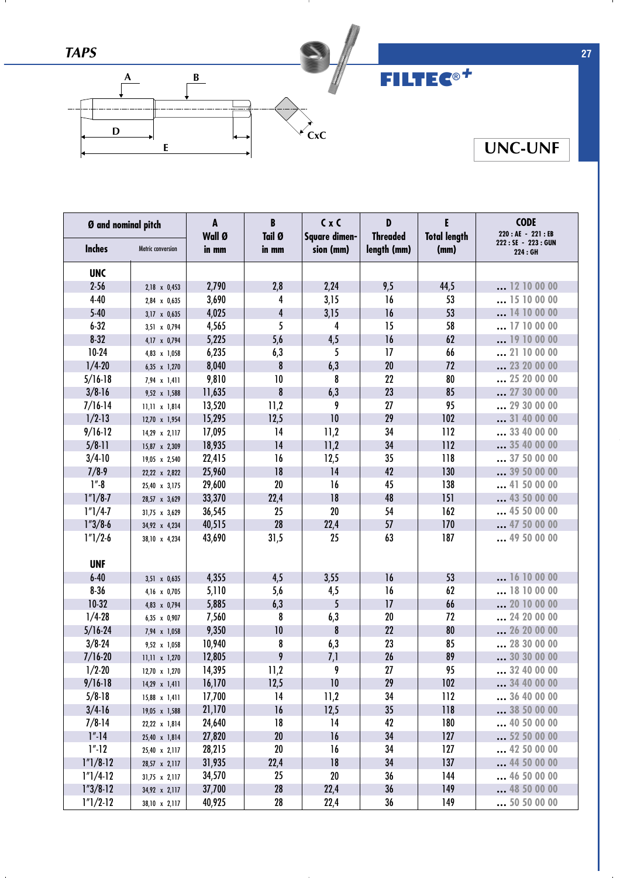

| Ø and nominal pitch |                      | A<br>Wall Ø | B<br>Tail Ø      | C x C<br>Square dimen- | D<br><b>Threaded</b> | E<br><b>Total length</b> | <b>CODE</b><br>220 : AE - 221 : EB |
|---------------------|----------------------|-------------|------------------|------------------------|----------------------|--------------------------|------------------------------------|
| <b>Inches</b>       | Metric conversion    | in mm       | in mm            | sion (mm)              | length (mm)          | (mm)                     | 222: SE - 223: GUN<br>224 : GH     |
| <b>UNC</b>          |                      |             |                  |                        |                      |                          |                                    |
| $2 - 56$            | 2,18 x 0,453         | 2,790       | 2,8              | 2,24                   | 9,5                  | 44,5                     | 12 10 00 00                        |
| $4 - 40$            | 2,84 x 0,635         | 3,690       | 4                | 3,15                   | 16                   | 53                       | 15 10 00 00                        |
| $5-40$              | 3,17 x 0,635         | 4,025       | 4                | 3,15                   | 16                   | 53                       | 14 10 00 00                        |
| $6 - 32$            | 3,51 x 0,794         | 4,565       | 5                | 4                      | 15                   | 58                       | 17 10 00 00                        |
| $8 - 32$            | 4,17 x 0,794         | 5,225       | 5,6              | 4,5                    | 16                   | 62                       | 19 10 00 00                        |
| $10-24$             | 4,83 x 1,058         | 6,235       | 6,3              | 5                      | 17                   | 66                       | 21 10 00 00                        |
| $1/4 - 20$          | 6,35 x 1,270         | 8,040       | 8                | 6,3                    | 20                   | 72                       | 23 20 00 00                        |
| $5/16-18$           | 7,94 x 1,411         | 9,810       | 10               | 8                      | 22                   | 80                       | 25 20 00 00                        |
| $3/8 - 16$          | 9,52 x 1,588         | 11,635      | $\boldsymbol{8}$ | 6,3                    | 23                   | 85                       | 27 30 00 00                        |
| $7/16-14$           | $11,11 \times 1,814$ | 13,520      | 11,2             | 9                      | 27                   | 95                       | 29 30 00 00                        |
| $1/2-13$            | 12,70 x 1,954        | 15,295      | 12,5             | 10                     | 29                   | 102                      | 31 40 00 00                        |
| $9/16-12$           | 14,29 x 2,117        | 17,095      | 14               | 11,2                   | 34                   | 112                      | 33 40 00 00                        |
| $5/8-11$            | 15,87 x 2,309        | 18,935      | 14               | 11,2                   | 34                   | 112                      | 35 40 00 00                        |
| $3/4-10$            | 19,05 x 2,540        | 22,415      | 16               | 12,5                   | 35                   | 118                      | 37 50 00 00                        |
| $7/8-9$             | 22,22 x 2,822        | 25,960      | 18               | 14                     | 42                   | 130                      | 39 50 00 00                        |
| $1 - 8$             | 25,40 x 3,175        | 29,600      | 20               | 16                     | 45                   | 138                      | 41 50 00 00                        |
| $1"1/8-7$           | 28,57 x 3,629        | 33,370      | 22,4             | 18                     | 48                   | 151                      | 43 50 00 00                        |
| $1"1/4-7$           | 31,75 x 3,629        | 36,545      | 25               | 20                     | 54                   | 162                      | 45 50 00 00                        |
| $1''3/8-6$          | 34,92 x 4,234        | 40,515      | 28               | 22,4                   | 57                   | 170                      | 47 50 00 00                        |
| $1"1/2-6$           | 38,10 x 4,234        | 43,690      | 31,5             | 25                     | 63                   | 187                      | 49 50 00 00                        |
|                     |                      |             |                  |                        |                      |                          |                                    |
| <b>UNF</b>          |                      |             |                  |                        |                      |                          |                                    |
| $6 - 40$            | 3,51 x 0,635         | 4,355       | 4,5              | 3,55                   | 16                   | 53                       | 16 10 00 00                        |
| $8 - 36$            | 4,16 x 0,705         | 5,110       | 5,6              | 4,5                    | 16                   | 62                       | 18 10 00 00                        |
| $10-32$             | 4,83 x 0,794         | 5,885       | 6,3              | 5                      | 17                   | 66                       | 20 10 00 00                        |
| $1/4 - 28$          | 6,35 x 0,907         | 7,560       | 8                | 6,3                    | 20                   | 72                       | 24 20 00 00                        |
| $5/16 - 24$         | 7,94 x 1,058         | 9,350       | 10               | $\pmb{8}$              | 22                   | 80                       | 26 20 00 00                        |
| $3/8 - 24$          | 9,52 x 1,058         | 10,940      | 8                | 6,3                    | 23                   | 85                       | 28 30 00 00                        |
| $7/16 - 20$         | $11,11 \times 1,270$ | 12,805      | 9                | 7,1                    | 26                   | 89                       | 30 30 00 00                        |
| $1/2 - 20$          | 12,70 x 1,270        | 14,395      | 11,2             | 9                      | 27                   | 95                       | 32 40 00 00                        |
| $9/16 - 18$         | $14,29 \times 1,411$ | 16,170      | 12,5             | $10\,$                 | 29                   | 102                      | 34 40 00 00                        |
| $5/8 - 18$          | 15,88 x 1,411        | 17,700      | 14               | 11,2                   | 34                   | 112                      | 36 40 00 00                        |
| $3/4-16$            | 19,05 x 1,588        | 21,170      | 16               | 12,5                   | 35                   | 118                      | 38 50 00 00                        |
| $7/8-14$            | 22,22 x 1,814        | 24,640      | 18               | 14                     | 42                   | 180                      | 40 50 00 00                        |
| $1" - 14$           | 25,40 x 1,814        | 27,820      | 20               | 16                     | 34                   | 127                      | 52 50 00 00                        |
| 1".12               | 25,40 x 2,117        | 28,215      | 20               | 16                     | 34                   | 127                      | 42 50 00 00                        |
| $1"1/8-12$          | 28,57 x 2,117        | 31,935      | 22,4             | 18                     | 34                   | 137                      | 44 50 00 00                        |
| $1"1/4-12$          | $31,75 \times 2,117$ | 34,570      | 25               | 20                     | 36                   | 144                      | 46 50 00 00                        |
| $1"3/8-12$          | 34,92 x 2,117        | 37,700      | 28               | 22,4                   | 36                   | 149                      | 48 50 00 00                        |
| $1"1/2-12$          | 38,10 x 2,117        | 40,925      | 28               | 22,4                   | 36                   | 149                      | 50 50 00 00                        |